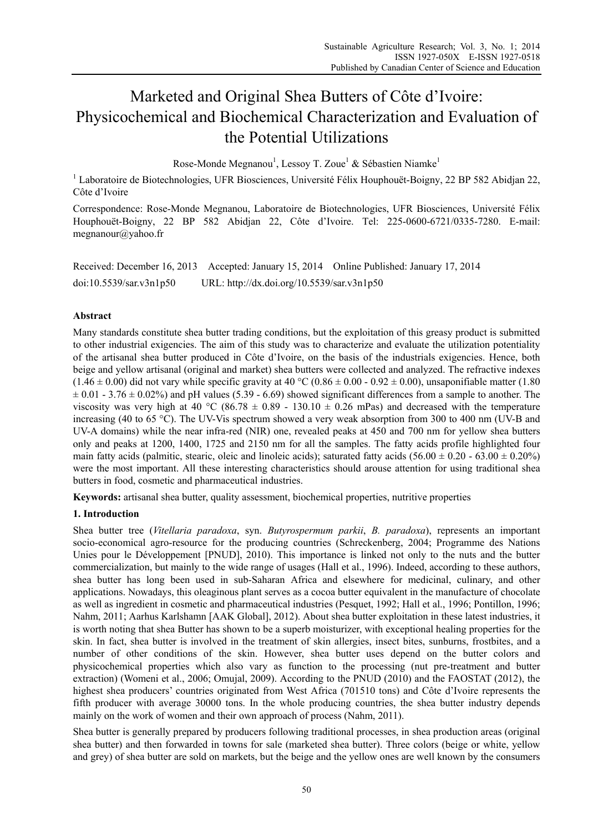# Marketed and Original Shea Butters of Côte d'Ivoire: Physicochemical and Biochemical Characterization and Evaluation of the Potential Utilizations

Rose-Monde Megnanou<sup>1</sup>, Lessoy T. Zoue<sup>1</sup> & Sébastien Niamke<sup>1</sup>

<sup>1</sup> Laboratoire de Biotechnologies, UFR Biosciences, Université Félix Houphouët-Boigny, 22 BP 582 Abidjan 22, Côte d'Ivoire

Correspondence: Rose-Monde Megnanou, Laboratoire de Biotechnologies, UFR Biosciences, Université Félix Houphouët-Boigny, 22 BP 582 Abidjan 22, Côte d'Ivoire. Tel: 225-0600-6721/0335-7280. E-mail: megnanour@yahoo.fr

Received: December 16, 2013 Accepted: January 15, 2014 Online Published: January 17, 2014 doi:10.5539/sar.v3n1p50 URL: http://dx.doi.org/10.5539/sar.v3n1p50

# **Abstract**

Many standards constitute shea butter trading conditions, but the exploitation of this greasy product is submitted to other industrial exigencies. The aim of this study was to characterize and evaluate the utilization potentiality of the artisanal shea butter produced in Côte d'Ivoire, on the basis of the industrials exigencies. Hence, both beige and yellow artisanal (original and market) shea butters were collected and analyzed. The refractive indexes  $(1.46 \pm 0.00)$  did not vary while specific gravity at 40 °C (0.86  $\pm$  0.00 - 0.92  $\pm$  0.00), unsaponifiable matter (1.80)  $\pm 0.01$  - 3.76  $\pm 0.02\%$ ) and pH values (5.39 - 6.69) showed significant differences from a sample to another. The viscosity was very high at 40 °C (86.78  $\pm$  0.89 - 130.10  $\pm$  0.26 mPas) and decreased with the temperature increasing (40 to 65 °C). The UV-Vis spectrum showed a very weak absorption from 300 to 400 nm (UV-B and UV-A domains) while the near infra-red (NIR) one, revealed peaks at 450 and 700 nm for yellow shea butters only and peaks at 1200, 1400, 1725 and 2150 nm for all the samples. The fatty acids profile highlighted four main fatty acids (palmitic, stearic, oleic and linoleic acids); saturated fatty acids  $(56.00 \pm 0.20 \pm 0.20\%)$ were the most important. All these interesting characteristics should arouse attention for using traditional shea butters in food, cosmetic and pharmaceutical industries.

**Keywords:** artisanal shea butter, quality assessment, biochemical properties, nutritive properties

# **1. Introduction**

Shea butter tree (*Vitellaria paradoxa*, syn. *Butyrospermum parkii*, *B. paradoxa*), represents an important socio-economical agro-resource for the producing countries (Schreckenberg, 2004; Programme des Nations Unies pour le Développement [PNUD], 2010). This importance is linked not only to the nuts and the butter commercialization, but mainly to the wide range of usages (Hall et al., 1996). Indeed, according to these authors, shea butter has long been used in sub-Saharan Africa and elsewhere for medicinal, culinary, and other applications. Nowadays, this oleaginous plant serves as a cocoa butter equivalent in the manufacture of chocolate as well as ingredient in cosmetic and pharmaceutical industries (Pesquet, 1992; Hall et al., 1996; Pontillon, 1996; Nahm, 2011; Aarhus Karlshamn [AAK Global], 2012). About shea butter exploitation in these latest industries, it is worth noting that shea Butter has shown to be a superb moisturizer, with exceptional healing properties for the skin. In fact, shea butter is involved in the treatment of skin allergies, insect bites, sunburns, frostbites, and a number of other conditions of the skin. However, shea butter uses depend on the butter colors and physicochemical properties which also vary as function to the processing (nut pre-treatment and butter extraction) (Womeni et al., 2006; Omujal, 2009). According to the PNUD (2010) and the FAOSTAT (2012), the highest shea producers' countries originated from West Africa (701510 tons) and Côte d'Ivoire represents the fifth producer with average 30000 tons. In the whole producing countries, the shea butter industry depends mainly on the work of women and their own approach of process (Nahm, 2011).

Shea butter is generally prepared by producers following traditional processes, in shea production areas (original shea butter) and then forwarded in towns for sale (marketed shea butter). Three colors (beige or white, yellow and grey) of shea butter are sold on markets, but the beige and the yellow ones are well known by the consumers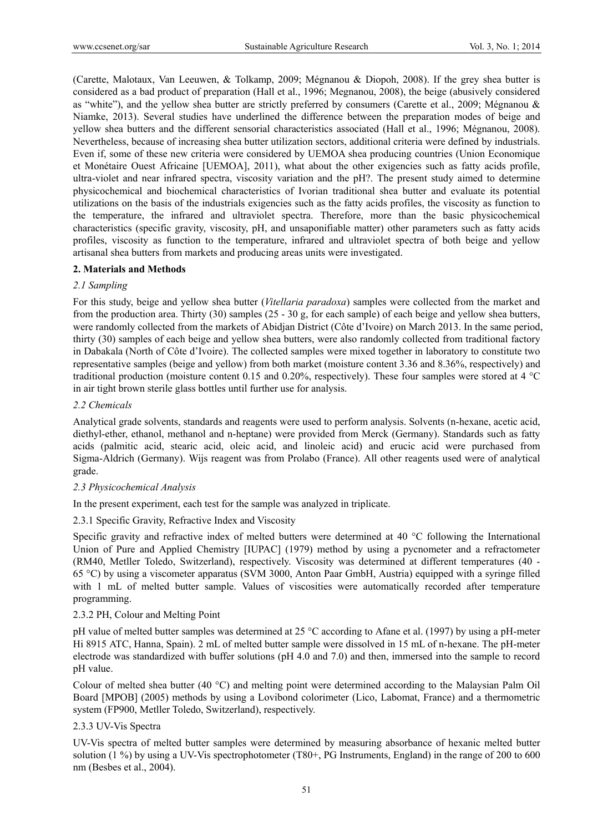(Carette, Malotaux, Van Leeuwen, & Tolkamp, 2009; Mégnanou & Diopoh, 2008). If the grey shea butter is considered as a bad product of preparation (Hall et al., 1996; Megnanou, 2008), the beige (abusively considered as "white"), and the yellow shea butter are strictly preferred by consumers (Carette et al., 2009; Mégnanou & Niamke, 2013). Several studies have underlined the difference between the preparation modes of beige and yellow shea butters and the different sensorial characteristics associated (Hall et al., 1996; Mégnanou, 2008). Nevertheless, because of increasing shea butter utilization sectors, additional criteria were defined by industrials. Even if, some of these new criteria were considered by UEMOA shea producing countries (Union Economique et Monétaire Ouest Africaine [UEMOA], 2011), what about the other exigencies such as fatty acids profile, ultra-violet and near infrared spectra, viscosity variation and the pH?. The present study aimed to determine physicochemical and biochemical characteristics of Ivorian traditional shea butter and evaluate its potential utilizations on the basis of the industrials exigencies such as the fatty acids profiles, the viscosity as function to the temperature, the infrared and ultraviolet spectra. Therefore, more than the basic physicochemical characteristics (specific gravity, viscosity, pH, and unsaponifiable matter) other parameters such as fatty acids profiles, viscosity as function to the temperature, infrared and ultraviolet spectra of both beige and yellow artisanal shea butters from markets and producing areas units were investigated.

# **2. Materials and Methods**

# *2.1 Sampling*

For this study, beige and yellow shea butter (*Vitellaria paradoxa*) samples were collected from the market and from the production area. Thirty (30) samples (25 - 30 g, for each sample) of each beige and yellow shea butters, were randomly collected from the markets of Abidjan District (Côte d'Ivoire) on March 2013. In the same period, thirty (30) samples of each beige and yellow shea butters, were also randomly collected from traditional factory in Dabakala (North of Côte d'Ivoire). The collected samples were mixed together in laboratory to constitute two representative samples (beige and yellow) from both market (moisture content 3.36 and 8.36%, respectively) and traditional production (moisture content 0.15 and 0.20%, respectively). These four samples were stored at 4 °C in air tight brown sterile glass bottles until further use for analysis.

# *2.2 Chemicals*

Analytical grade solvents, standards and reagents were used to perform analysis. Solvents (n-hexane, acetic acid, diethyl-ether, ethanol, methanol and n-heptane) were provided from Merck (Germany). Standards such as fatty acids (palmitic acid, stearic acid, oleic acid, and linoleic acid) and erucic acid were purchased from Sigma-Aldrich (Germany). Wijs reagent was from Prolabo (France). All other reagents used were of analytical grade.

# *2.3 Physicochemical Analysis*

In the present experiment, each test for the sample was analyzed in triplicate.

# 2.3.1 Specific Gravity, Refractive Index and Viscosity

Specific gravity and refractive index of melted butters were determined at 40 °C following the International Union of Pure and Applied Chemistry [IUPAC] (1979) method by using a pycnometer and a refractometer (RM40, Metller Toledo, Switzerland), respectively. Viscosity was determined at different temperatures (40 - 65 °C) by using a viscometer apparatus (SVM 3000, Anton Paar GmbH, Austria) equipped with a syringe filled with 1 mL of melted butter sample. Values of viscosities were automatically recorded after temperature programming.

# 2.3.2 PH, Colour and Melting Point

pH value of melted butter samples was determined at 25 °C according to Afane et al. (1997) by using a pH-meter Hi 8915 ATC, Hanna, Spain). 2 mL of melted butter sample were dissolved in 15 mL of n-hexane. The pH-meter electrode was standardized with buffer solutions (pH 4.0 and 7.0) and then, immersed into the sample to record pH value.

Colour of melted shea butter (40 °C) and melting point were determined according to the Malaysian Palm Oil Board [MPOB] (2005) methods by using a Lovibond colorimeter (Lico, Labomat, France) and a thermometric system (FP900, Metller Toledo, Switzerland), respectively.

# 2.3.3 UV-Vis Spectra

UV-Vis spectra of melted butter samples were determined by measuring absorbance of hexanic melted butter solution (1 %) by using a UV-Vis spectrophotometer (T80+, PG Instruments, England) in the range of 200 to 600 nm (Besbes et al., 2004).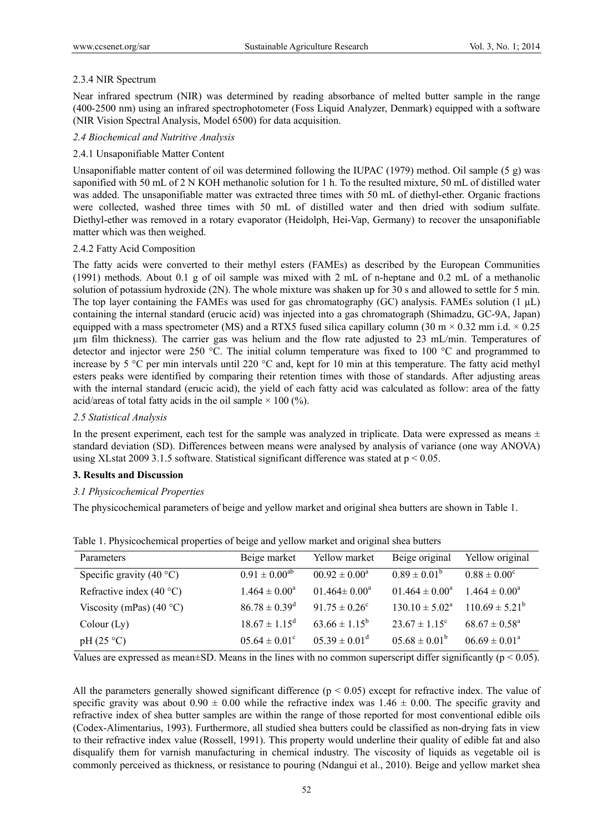# 2.3.4 NIR Spectrum

Near infrared spectrum (NIR) was determined by reading absorbance of melted butter sample in the range (400-2500 nm) using an infrared spectrophotometer (Foss Liquid Analyzer, Denmark) equipped with a software (NIR Vision Spectral Analysis, Model 6500) for data acquisition.

# *2.4 Biochemical and Nutritive Analysis*

# 2.4.1 Unsaponifiable Matter Content

Unsaponifiable matter content of oil was determined following the IUPAC (1979) method. Oil sample (5 g) was saponified with 50 mL of 2 N KOH methanolic solution for 1 h. To the resulted mixture, 50 mL of distilled water was added. The unsaponifiable matter was extracted three times with 50 mL of diethyl-ether. Organic fractions were collected, washed three times with 50 mL of distilled water and then dried with sodium sulfate. Diethyl-ether was removed in a rotary evaporator (Heidolph, Hei-Vap, Germany) to recover the unsaponifiable matter which was then weighed.

#### 2.4.2 Fatty Acid Composition

The fatty acids were converted to their methyl esters (FAMEs) as described by the European Communities (1991) methods. About 0.1 g of oil sample was mixed with 2 mL of n-heptane and 0.2 mL of a methanolic solution of potassium hydroxide (2N). The whole mixture was shaken up for 30 s and allowed to settle for 5 min. The top layer containing the FAMEs was used for gas chromatography (GC) analysis. FAMEs solution  $(1 \mu L)$ containing the internal standard (erucic acid) was injected into a gas chromatograph (Shimadzu, GC-9A, Japan) equipped with a mass spectrometer (MS) and a RTX5 fused silica capillary column (30 m  $\times$  0.32 mm i.d.  $\times$  0.25 µm film thickness). The carrier gas was helium and the flow rate adjusted to 23 mL/min. Temperatures of detector and injector were 250 °C. The initial column temperature was fixed to 100 °C and programmed to increase by 5 °C per min intervals until 220 °C and, kept for 10 min at this temperature. The fatty acid methyl esters peaks were identified by comparing their retention times with those of standards. After adjusting areas with the internal standard (erucic acid), the yield of each fatty acid was calculated as follow: area of the fatty acid/areas of total fatty acids in the oil sample  $\times$  100 (%).

# *2.5 Statistical Analysis*

In the present experiment, each test for the sample was analyzed in triplicate. Data were expressed as means  $\pm$ standard deviation (SD). Differences between means were analysed by analysis of variance (one way ANOVA) using XLstat 2009 3.1.5 software. Statistical significant difference was stated at  $p < 0.05$ .

# **3. Results and Discussion**

# *3.1 Physicochemical Properties*

The physicochemical parameters of beige and yellow market and original shea butters are shown in Table 1.

| Parameters                 | Beige market                  | Yellow market            | Beige original               | Yellow original          |
|----------------------------|-------------------------------|--------------------------|------------------------------|--------------------------|
| Specific gravity $(40 °C)$ | $0.91 \pm 0.00^{ab}$          | $0.92 \pm 0.00^a$        | $0.89 \pm 0.01^b$            | $0.88 \pm 0.00^{\circ}$  |
| Refractive index $(40 °C)$ | $1.464 \pm 0.00^a$            | $01.464 \pm 0.00^a$      | $01.464 \pm 0.00^a$          | $1.464 \pm 0.00^a$       |
| Viscosity (mPas) $(40 °C)$ | $86.78 \pm 0.39$ <sup>d</sup> | $91.75 \pm 0.26^{\circ}$ | $130.10 \pm 5.02^{\text{a}}$ | $110.69 \pm 5.21^b$      |
| Colour (Ly)                | $18.67 \pm 1.15^{\text{d}}$   | $63.66 \pm 1.15^b$       | $23.67 \pm 1.15^{\circ}$     | $68.67 \pm 0.58^{\circ}$ |
| pH(25 °C)                  | $0.564 \pm 0.01^{\circ}$      | $05.39 \pm 0.01^d$       | $05.68 \pm 0.01^b$           | $06.69 \pm 0.01^a$       |

Table 1. Physicochemical properties of beige and yellow market and original shea butters

Values are expressed as mean $\pm$ SD. Means in the lines with no common superscript differ significantly ( $p < 0.05$ ).

All the parameters generally showed significant difference  $(p < 0.05)$  except for refractive index. The value of specific gravity was about  $0.90 \pm 0.00$  while the refractive index was  $1.46 \pm 0.00$ . The specific gravity and refractive index of shea butter samples are within the range of those reported for most conventional edible oils (Codex-Alimentarius, 1993). Furthermore, all studied shea butters could be classified as non-drying fats in view to their refractive index value (Rossell, 1991). This property would underline their quality of edible fat and also disqualify them for varnish manufacturing in chemical industry. The viscosity of liquids as vegetable oil is commonly perceived as thickness, or resistance to pouring (Ndangui et al., 2010). Beige and yellow market shea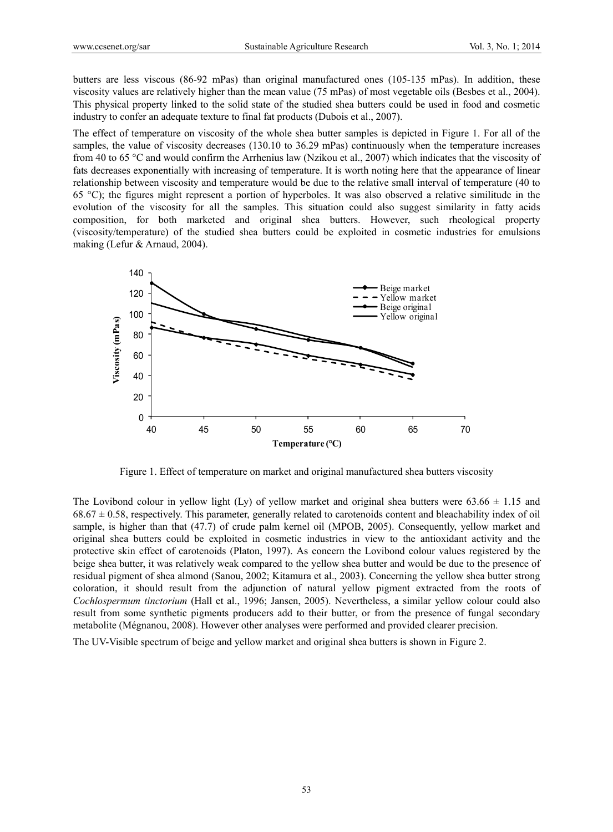butters are less viscous (86-92 mPas) than original manufactured ones (105-135 mPas). In addition, these viscosity values are relatively higher than the mean value (75 mPas) of most vegetable oils (Besbes et al., 2004). This physical property linked to the solid state of the studied shea butters could be used in food and cosmetic industry to confer an adequate texture to final fat products (Dubois et al., 2007).

The effect of temperature on viscosity of the whole shea butter samples is depicted in Figure 1. For all of the samples, the value of viscosity decreases (130.10 to 36.29 mPas) continuously when the temperature increases from 40 to 65 °C and would confirm the Arrhenius law (Nzikou et al., 2007) which indicates that the viscosity of fats decreases exponentially with increasing of temperature. It is worth noting here that the appearance of linear relationship between viscosity and temperature would be due to the relative small interval of temperature (40 to 65 °C); the figures might represent a portion of hyperboles. It was also observed a relative similitude in the evolution of the viscosity for all the samples. This situation could also suggest similarity in fatty acids composition, for both marketed and original shea butters. However, such rheological property (viscosity/temperature) of the studied shea butters could be exploited in cosmetic industries for emulsions making (Lefur & Arnaud, 2004).



Figure 1. Effect of temperature on market and original manufactured shea butters viscosity

The Lovibond colour in yellow light (Ly) of yellow market and original shea butters were  $63.66 \pm 1.15$  and  $68.67 \pm 0.58$ , respectively. This parameter, generally related to carotenoids content and bleachability index of oil sample, is higher than that (47.7) of crude palm kernel oil (MPOB, 2005). Consequently, yellow market and original shea butters could be exploited in cosmetic industries in view to the antioxidant activity and the protective skin effect of carotenoids (Platon, 1997). As concern the Lovibond colour values registered by the beige shea butter, it was relatively weak compared to the yellow shea butter and would be due to the presence of residual pigment of shea almond (Sanou, 2002; Kitamura et al., 2003). Concerning the yellow shea butter strong coloration, it should result from the adjunction of natural yellow pigment extracted from the roots of *Cochlospermum tinctorium* (Hall et al., 1996; Jansen, 2005). Nevertheless, a similar yellow colour could also result from some synthetic pigments producers add to their butter, or from the presence of fungal secondary metabolite (Mégnanou, 2008). However other analyses were performed and provided clearer precision.

The UV-Visible spectrum of beige and yellow market and original shea butters is shown in Figure 2.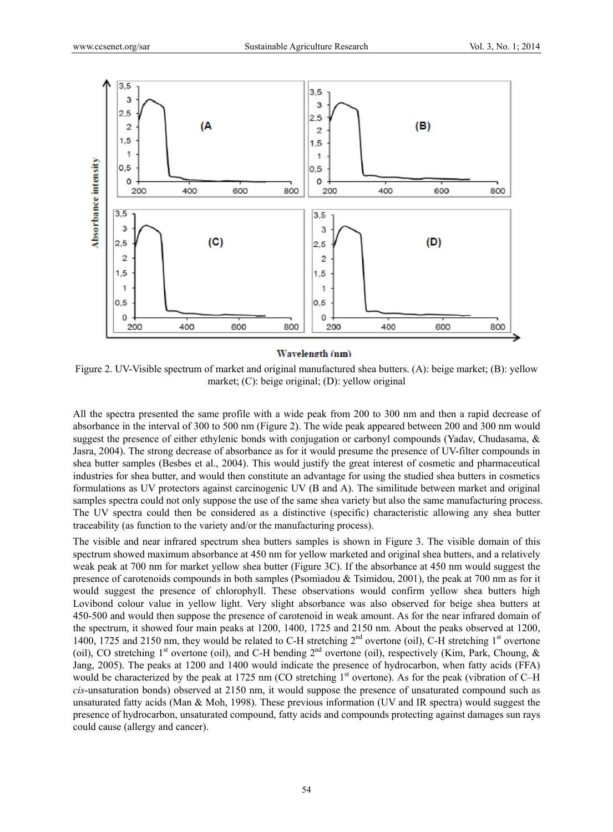

#### Wavelength (nm)

Figure 2. UV-Visible spectrum of market and original manufactured shea butters. (A): beige market; (B): yellow market; (C): beige original; (D): yellow original

All the spectra presented the same profile with a wide peak from 200 to 300 nm and then a rapid decrease of absorbance in the interval of 300 to 500 nm (Figure 2). The wide peak appeared between 200 and 300 nm would suggest the presence of either ethylenic bonds with conjugation or carbonyl compounds (Yadav, Chudasama, & Jasra, 2004). The strong decrease of absorbance as for it would presume the presence of UV-filter compounds in shea butter samples (Besbes et al., 2004). This would justify the great interest of cosmetic and pharmaceutical industries for shea butter, and would then constitute an advantage for using the studied shea butters in cosmetics formulations as UV protectors against carcinogenic UV (B and A). The similitude between market and original samples spectra could not only suppose the use of the same shea variety but also the same manufacturing process. The UV spectra could then be considered as a distinctive (specific) characteristic allowing any shea butter traceability (as function to the variety and/or the manufacturing process).

The visible and near infrared spectrum shea butters samples is shown in Figure 3. The visible domain of this spectrum showed maximum absorbance at 450 nm for yellow marketed and original shea butters, and a relatively weak peak at 700 nm for market yellow shea butter (Figure 3C). If the absorbance at 450 nm would suggest the presence of carotenoids compounds in both samples (Psomiadou & Tsimidou, 2001), the peak at 700 nm as for it would suggest the presence of chlorophyll. These observations would confirm yellow shea butters high Lovibond colour value in yellow light. Very slight absorbance was also observed for beige shea butters at 450-500 and would then suppose the presence of carotenoid in weak amount. As for the near infrared domain of the spectrum, it showed four main peaks at 1200, 1400, 1725 and 2150 nm. About the peaks observed at 1200, 1400, 1725 and 2150 nm, they would be related to C-H stretching 2<sup>nd</sup> overtone (oil), C-H stretching 1<sup>st</sup> overtone (oil), CO stretching  $1<sup>st</sup>$  overtone (oil), and C-H bending  $2<sup>nd</sup>$  overtone (oil), respectively (Kim, Park, Choung, & Jang, 2005). The peaks at 1200 and 1400 would indicate the presence of hydrocarbon, when fatty acids (FFA) would be characterized by the peak at 1725 nm (CO stretching  $1<sup>st</sup>$  overtone). As for the peak (vibration of C–H *cis*-unsaturation bonds) observed at 2150 nm, it would suppose the presence of unsaturated compound such as unsaturated fatty acids (Man & Moh, 1998). These previous information (UV and IR spectra) would suggest the presence of hydrocarbon, unsaturated compound, fatty acids and compounds protecting against damages sun rays could cause (allergy and cancer).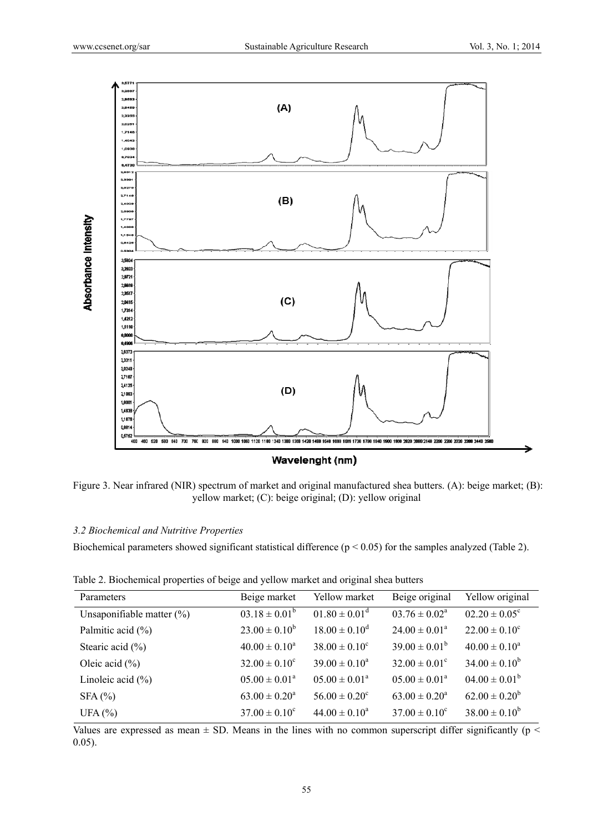

Figure 3. Near infrared (NIR) spectrum of market and original manufactured shea butters. (A): beige market; (B): yellow market; (C): beige original; (D): yellow original

# *3.2 Biochemical and Nutritive Properties*

Biochemical parameters showed significant statistical difference ( $p < 0.05$ ) for the samples analyzed (Table 2).

Table 2. Biochemical properties of beige and yellow market and original shea butters

| Parameters                   | Beige market       | Yellow market                 | Beige original              | Yellow original          |
|------------------------------|--------------------|-------------------------------|-----------------------------|--------------------------|
| Unsaponifiable matter $(\%)$ | $03.18 \pm 0.01^b$ | $01.80 \pm 0.01$ <sup>d</sup> | $03.76 \pm 0.02^{\text{a}}$ | $02.20 \pm 0.05^{\circ}$ |
| Palmitic acid $(\% )$        | $23.00 \pm 0.10^b$ | $18.00 \pm 0.10^d$            | $24.00 \pm 0.01^a$          | $22.00 \pm 0.10^c$       |
| Stearic acid $(\% )$         | $40.00 \pm 0.10^a$ | $38.00 \pm 0.10^c$            | $39.00 \pm 0.01^b$          | $40.00 \pm 0.10^a$       |
| Oleic acid $(\% )$           | $32.00 \pm 0.10^c$ | $39.00 \pm 0.10^a$            | $32.00 \pm 0.01^{\circ}$    | $34.00 \pm 0.10^b$       |
| Linoleic acid $(\% )$        | $05.00 \pm 0.01^a$ | $05.00 \pm 0.01^a$            | $05.00 \pm 0.01^a$          | $04.00 \pm 0.01^b$       |
| SFA(%)                       | $63.00 \pm 0.20^a$ | $56.00 \pm 0.20^{\circ}$      | $63.00 \pm 0.20^a$          | $62.00 \pm 0.20^b$       |
| UFA $(%)$                    | $37.00 \pm 0.10^c$ | $44.00 \pm 0.10^a$            | $37.00 \pm 0.10^c$          | $38.00 \pm 0.10^b$       |

Values are expressed as mean  $\pm$  SD. Means in the lines with no common superscript differ significantly ( $p$  < 0.05).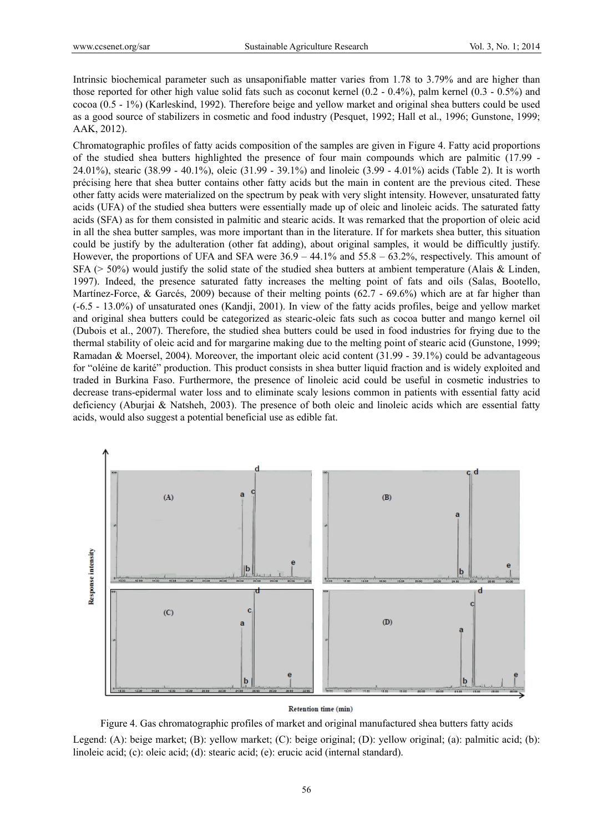Intrinsic biochemical parameter such as unsaponifiable matter varies from 1.78 to 3.79% and are higher than those reported for other high value solid fats such as coconut kernel (0.2 - 0.4%), palm kernel (0.3 - 0.5%) and cocoa (0.5 - 1%) (Karleskind, 1992). Therefore beige and yellow market and original shea butters could be used as a good source of stabilizers in cosmetic and food industry (Pesquet, 1992; Hall et al., 1996; Gunstone, 1999; AAK, 2012).

Chromatographic profiles of fatty acids composition of the samples are given in Figure 4. Fatty acid proportions of the studied shea butters highlighted the presence of four main compounds which are palmitic (17.99 - 24.01%), stearic (38.99 - 40.1%), oleic (31.99 - 39.1%) and linoleic (3.99 - 4.01%) acids (Table 2). It is worth précising here that shea butter contains other fatty acids but the main in content are the previous cited. These other fatty acids were materialized on the spectrum by peak with very slight intensity. However, unsaturated fatty acids (UFA) of the studied shea butters were essentially made up of oleic and linoleic acids. The saturated fatty acids (SFA) as for them consisted in palmitic and stearic acids. It was remarked that the proportion of oleic acid in all the shea butter samples, was more important than in the literature. If for markets shea butter, this situation could be justify by the adulteration (other fat adding), about original samples, it would be difficultly justify. However, the proportions of UFA and SFA were 36.9 – 44.1% and 55.8 – 63.2%, respectively. This amount of  $SFA$  (> 50%) would justify the solid state of the studied shea butters at ambient temperature (Alais & Linden, 1997). Indeed, the presence saturated fatty increases the melting point of fats and oils (Salas, Bootello, Martínez-Force, & Garcés, 2009) because of their melting points (62.7 - 69.6%) which are at far higher than (-6.5 - 13.0%) of unsaturated ones (Kandji, 2001). In view of the fatty acids profiles, beige and yellow market and original shea butters could be categorized as stearic-oleic fats such as cocoa butter and mango kernel oil (Dubois et al., 2007). Therefore, the studied shea butters could be used in food industries for frying due to the thermal stability of oleic acid and for margarine making due to the melting point of stearic acid (Gunstone, 1999; Ramadan & Moersel, 2004). Moreover, the important oleic acid content (31.99 - 39.1%) could be advantageous for "oléine de karité" production. This product consists in shea butter liquid fraction and is widely exploited and traded in Burkina Faso. Furthermore, the presence of linoleic acid could be useful in cosmetic industries to decrease trans-epidermal water loss and to eliminate scaly lesions common in patients with essential fatty acid deficiency (Aburjai & Natsheh, 2003). The presence of both oleic and linoleic acids which are essential fatty acids, would also suggest a potential beneficial use as edible fat.



#### **Retention time (min)**

Figure 4. Gas chromatographic profiles of market and original manufactured shea butters fatty acids Legend: (A): beige market; (B): yellow market; (C): beige original; (D): yellow original; (a): palmitic acid; (b): linoleic acid; (c): oleic acid; (d): stearic acid; (e): erucic acid (internal standard).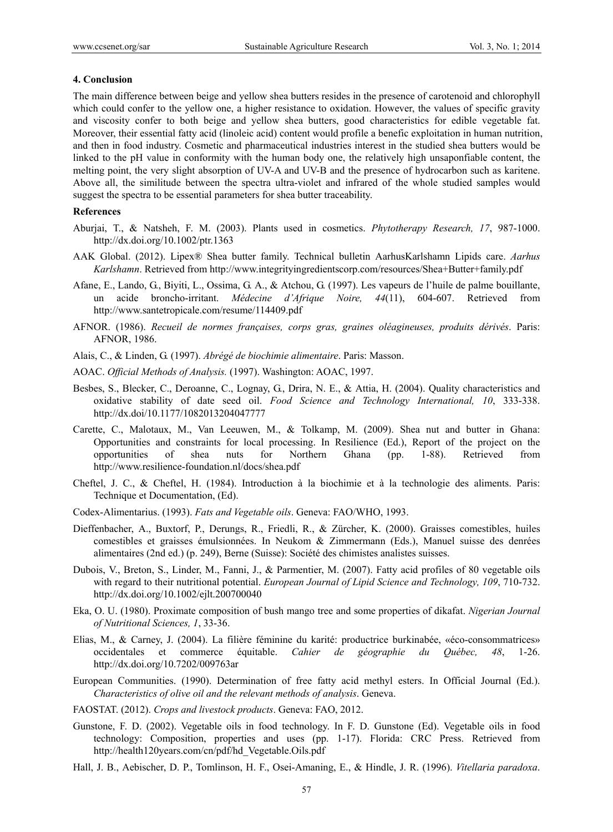#### **4. Conclusion**

The main difference between beige and yellow shea butters resides in the presence of carotenoid and chlorophyll which could confer to the yellow one, a higher resistance to oxidation. However, the values of specific gravity and viscosity confer to both beige and yellow shea butters, good characteristics for edible vegetable fat. Moreover, their essential fatty acid (linoleic acid) content would profile a benefic exploitation in human nutrition, and then in food industry. Cosmetic and pharmaceutical industries interest in the studied shea butters would be linked to the pH value in conformity with the human body one, the relatively high unsaponfiable content, the melting point, the very slight absorption of UV-A and UV-B and the presence of hydrocarbon such as karitene. Above all, the similitude between the spectra ultra-violet and infrared of the whole studied samples would suggest the spectra to be essential parameters for shea butter traceability.

## **References**

- Aburjai, T., & Natsheh, F. M. (2003). Plants used in cosmetics. *Phytotherapy Research, 17*, 987-1000. http://dx.doi.org/10.1002/ptr.1363
- AAK Global. (2012). Lipex® Shea butter family. Technical bulletin AarhusKarlshamn Lipids care. *Aarhus Karlshamn*. Retrieved from http://www.integrityingredientscorp.com/resources/Shea+Butter+family.pdf
- Afane, E., Lando, G., Biyiti, L., Ossima, G. A., & Atchou, G. (1997). Les vapeurs de l'huile de palme bouillante, un acide broncho-irritant. *Médecine d'Afrique Noire, 44*(11), 604-607. Retrieved from http://www.santetropicale.com/resume/114409.pdf
- AFNOR. (1986). *Recueil de normes françaises, corps gras, graines oléagineuses, produits dérivés*. Paris: AFNOR, 1986.
- Alais, C., & Linden, G. (1997). *Abrégé de biochimie alimentaire*. Paris: Masson.
- AOAC. *Official Methods of Analysis.* (1997). Washington: AOAC, 1997.
- Besbes, S., Blecker, C., Deroanne, C., Lognay, G., Drira, N. E., & Attia, H. (2004). Quality characteristics and oxidative stability of date seed oil. *Food Science and Technology International, 10*, 333-338. http://dx.doi/10.1177/1082013204047777
- Carette, C., Malotaux, M., Van Leeuwen, M., & Tolkamp, M. (2009). Shea nut and butter in Ghana: Opportunities and constraints for local processing. In Resilience (Ed.), Report of the project on the opportunities of shea nuts for Northern Ghana (pp. 1-88). Retrieved from http://www.resilience-foundation.nl/docs/shea.pdf
- Cheftel, J. C., & Cheftel, H. (1984). Introduction à la biochimie et à la technologie des aliments. Paris: Technique et Documentation, (Ed).
- Codex-Alimentarius. (1993). *Fats and Vegetable oils*. Geneva: FAO/WHO, 1993.
- Dieffenbacher, A., Buxtorf, P., Derungs, R., Friedli, R., & Zürcher, K. (2000). Graisses comestibles, huiles comestibles et graisses émulsionnées. In Neukom & Zimmermann (Eds.), Manuel suisse des denrées alimentaires (2nd ed.) (p. 249), Berne (Suisse): Société des chimistes analistes suisses.
- Dubois, V., Breton, S., Linder, M., Fanni, J., & Parmentier, M. (2007). Fatty acid profiles of 80 vegetable oils with regard to their nutritional potential. *European Journal of Lipid Science and Technology, 109*, 710-732. http://dx.doi.org/10.1002/ejlt.200700040
- Eka, O. U. (1980). Proximate composition of bush mango tree and some properties of dikafat. *Nigerian Journal of Nutritional Sciences, 1*, 33-36.
- Elias, M., & Carney, J. (2004). La filière féminine du karité: productrice burkinabée, «éco-consommatrices» occidentales et commerce équitable. *Cahier de géographie du Québec, 48*, 1-26. http://dx.doi.org/10.7202/009763ar
- European Communities. (1990). Determination of free fatty acid methyl esters. In Official Journal (Ed.). *Characteristics of olive oil and the relevant methods of analysis*. Geneva.
- FAOSTAT. (2012). *Crops and livestock products*. Geneva: FAO, 2012.
- Gunstone, F. D. (2002). Vegetable oils in food technology. In F. D. Gunstone (Ed). Vegetable oils in food technology: Composition, properties and uses (pp. 1-17). Florida: CRC Press. Retrieved from http://health120years.com/cn/pdf/hd\_Vegetable.Oils.pdf
- Hall, J. B., Aebischer, D. P., Tomlinson, H. F., Osei-Amaning, E., & Hindle, J. R. (1996). *Vitellaria paradoxa*.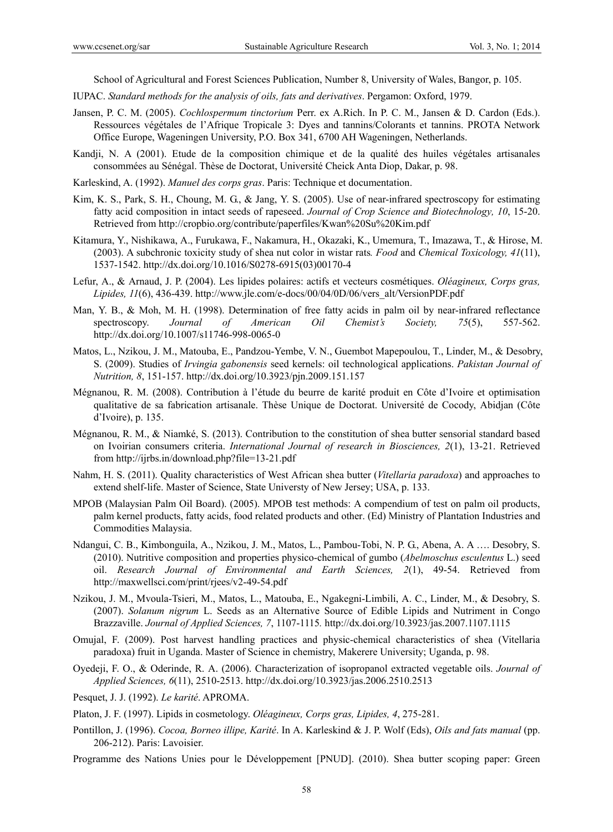School of Agricultural and Forest Sciences Publication, Number 8, University of Wales, Bangor, p. 105.

IUPAC. *Standard methods for the analysis of oils, fats and derivatives*. Pergamon: Oxford, 1979.

- Jansen, P. C. M. (2005). *Cochlospermum tinctorium* Perr. ex A.Rich. In P. C. M., Jansen & D. Cardon (Eds.). Ressources végétales de l'Afrique Tropicale 3: Dyes and tannins/Colorants et tannins. PROTA Network Office Europe, Wageningen University, P.O. Box 341, 6700 AH Wageningen, Netherlands.
- Kandji, N. A (2001). Etude de la composition chimique et de la qualité des huiles végétales artisanales consommées au Sénégal. Thèse de Doctorat, Université Cheick Anta Diop, Dakar, p. 98.
- Karleskind, A. (1992). *Manuel des corps gras*. Paris: Technique et documentation.
- Kim, K. S., Park, S. H., Choung, M. G., & Jang, Y. S. (2005). Use of near-infrared spectroscopy for estimating fatty acid composition in intact seeds of rapeseed. *Journal of Crop Science and Biotechnology, 10*, 15-20. Retrieved from http://cropbio.org/contribute/paperfiles/Kwan%20Su%20Kim.pdf
- Kitamura, Y., Nishikawa, A., Furukawa, F., Nakamura, H., Okazaki, K., Umemura, T., Imazawa, T., & Hirose, M. (2003). A subchronic toxicity study of shea nut color in wistar rats*. Food* and *Chemical Toxicology, 41*(11), 1537-1542. http://dx.doi.org/10.1016/S0278-6915(03)00170-4
- Lefur, A., & Arnaud, J. P. (2004). Les lipides polaires: actifs et vecteurs cosmétiques. *Oléagineux, Corps gras, Lipides, 11*(6), 436-439. http://www.jle.com/e-docs/00/04/0D/06/vers\_alt/VersionPDF.pdf
- Man, Y. B., & Moh, M. H. (1998). Determination of free fatty acids in palm oil by near-infrared reflectance spectroscopy. *Journal of American Oil Chemist's Society, 75*(5), 557-562. http://dx.doi.org/10.1007/s11746-998-0065-0
- Matos, L., Nzikou, J. M., Matouba, E., Pandzou-Yembe, V. N., Guembot Mapepoulou, T., Linder, M., & Desobry, S. (2009). Studies of *Irvingia gabonensis* seed kernels: oil technological applications. *Pakistan Journal of Nutrition, 8*, 151-157. http://dx.doi.org/10.3923/pjn.2009.151.157
- Mégnanou, R. M. (2008). Contribution à l'étude du beurre de karité produit en Côte d'Ivoire et optimisation qualitative de sa fabrication artisanale. Thèse Unique de Doctorat. Université de Cocody, Abidjan (Côte d'Ivoire), p. 135.
- Mégnanou, R. M., & Niamké, S. (2013). Contribution to the constitution of shea butter sensorial standard based on Ivoirian consumers criteria. *International Journal of research in Biosciences, 2*(1), 13-21. Retrieved from http://ijrbs.in/download.php?file=13-21.pdf
- Nahm, H. S. (2011). Quality characteristics of West African shea butter (*Vitellaria paradoxa*) and approaches to extend shelf-life. Master of Science, State Universty of New Jersey; USA, p. 133.
- MPOB (Malaysian Palm Oil Board). (2005). MPOB test methods: A compendium of test on palm oil products, palm kernel products, fatty acids, food related products and other. (Ed) Ministry of Plantation Industries and Commodities Malaysia.
- Ndangui, C. B., Kimbonguila, A., Nzikou, J. M., Matos, L., Pambou-Tobi, N. P. G., Abena, A. A …. Desobry, S. (2010). Nutritive composition and properties physico-chemical of gumbo (*Abelmoschus esculentus* L.) seed oil. *Research Journal of Environmental and Earth Sciences, 2*(1), 49-54. Retrieved from http://maxwellsci.com/print/rjees/v2-49-54.pdf
- Nzikou, J. M., Mvoula-Tsieri, M., Matos, L., Matouba, E., Ngakegni-Limbili, A. C., Linder, M., & Desobry, S. (2007). *Solanum nigrum* L. Seeds as an Alternative Source of Edible Lipids and Nutriment in Congo Brazzaville. *Journal of Applied Sciences, 7*, 1107-1115*.* http://dx.doi.org/10.3923/jas.2007.1107.1115
- Omujal, F. (2009). Post harvest handling practices and physic-chemical characteristics of shea (Vitellaria paradoxa) fruit in Uganda. Master of Science in chemistry, Makerere University; Uganda, p. 98.
- Oyedeji, F. O., & Oderinde, R. A. (2006). Characterization of isopropanol extracted vegetable oils. *Journal of Applied Sciences, 6*(11), 2510-2513. http://dx.doi.org/10.3923/jas.2006.2510.2513
- Pesquet, J. J. (1992). *Le karité*. APROMA.

- Pontillon, J. (1996). *Cocoa, Borneo illipe, Karité*. In A. Karleskind & J. P. Wolf (Eds), *Oils and fats manual* (pp. 206-212). Paris: Lavoisier.
- Programme des Nations Unies pour le Développement [PNUD]. (2010). Shea butter scoping paper: Green

Platon, J. F. (1997). Lipids in cosmetology. *Oléagineux, Corps gras, Lipides, 4*, 275-281.